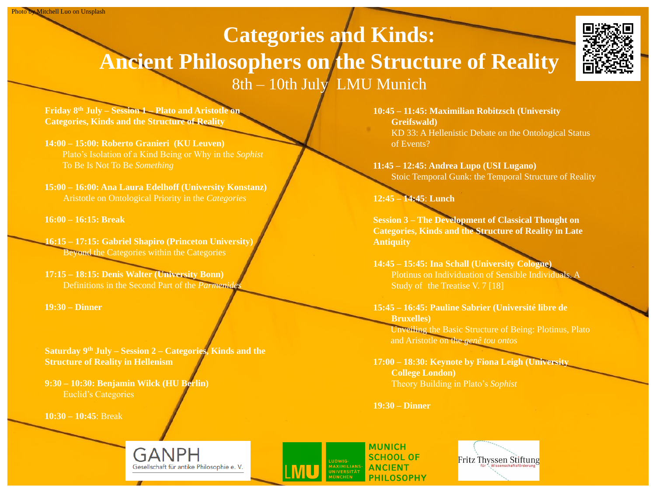## **Categories and Kinds: Ancient Philosophers on the Structure of Reality**  8th – 10th July LMU Munich

**Friday 8th July – Session 1 – Plato and Aristotle on Categories, Kinds and the Structure of Reality**

**16:15 – 17:15: Gabriel Shapiro (Princeton University)** Beyond the Categories within the Categories

**14:00 – 15:00: Roberto Granieri (KU Leuven)** Plato's Isolation of a Kind Being or Why in the *Sophist* To Be Is Not To Be *Something*

**15:00 – 16:00: Ana Laura Edelhoff (University Konstanz)** Aristotle on Ontological Priority in the *Categories*

**16:00 – 16:15: Break**

**17:15 – 18:15: Denis Walter (University Bonn)** Definitions in the Second Part of the *Parmenides*

**19:30 – Dinner**

**Saturday 9th July – Session 2 – Categories, Kinds and the Structure of Reality in Hellenism**

**9:30 – 10:30: Benjamin Wilck (HU Berlin)** Euclid's Categories

**10:30 – 10:45**: Break

GANPH Gesellschaft für antike Philosophie e. V. **10:45 – 11:45: Maximilian Robitzsch (University Greifswald)** KD 33: A Hellenistic Debate on the Ontological Status of Events?

**11:45 – 12:45: Andrea Lupo (USI Lugano)** Stoic Temporal Gunk: the Temporal Structure of Reality

## **12:45 – 14:45**: **Lunch**

**Session 3 – The Development of Classical Thought on Categories, Kinds and the Structure of Reality in Late Antiquity**

**14:45 – 15:45: Ina Schall (University Cologne)** Plotinus on Individuation of Sensible Individuals. A Study of the Treatise V. 7 [18]

**15:45 – 16:45: Pauline Sabrier (Université libre de Bruxelles)** Unveiling the Basic Structure of Being: Plotinus, Plato and Aristotle on the *genê tou ontos*

**17:00 – 18:30: Keynote by Fiona Leigh (University College London)** Theory Building in Plato's *Sophist*

**19:30 – Dinner**